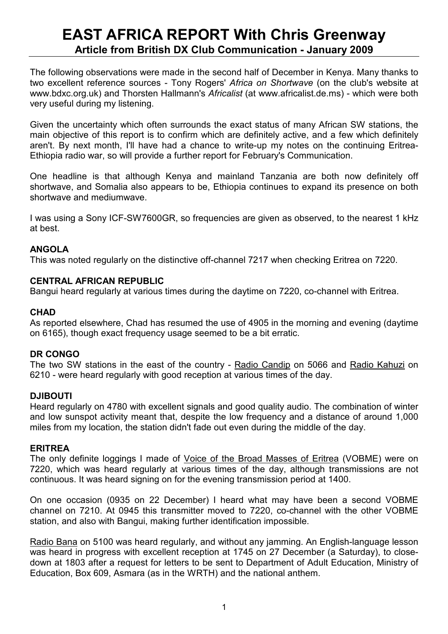# EAST AFRICA REPORT With Chris Greenway Article from British DX Club Communication - January 2009

The following observations were made in the second half of December in Kenya. Many thanks to two excellent reference sources - Tony Rogers' Africa on Shortwave (on the club's website at www.bdxc.org.uk) and Thorsten Hallmann's Africalist (at www.africalist.de.ms) - which were both very useful during my listening.

Given the uncertainty which often surrounds the exact status of many African SW stations, the main objective of this report is to confirm which are definitely active, and a few which definitely aren't. By next month, I'll have had a chance to write-up my notes on the continuing Eritrea-Ethiopia radio war, so will provide a further report for February's Communication.

One headline is that although Kenya and mainland Tanzania are both now definitely off shortwave, and Somalia also appears to be, Ethiopia continues to expand its presence on both shortwave and mediumwave.

I was using a Sony ICF-SW7600GR, so frequencies are given as observed, to the nearest 1 kHz at best.

# ANGOLA

This was noted regularly on the distinctive off-channel 7217 when checking Eritrea on 7220.

# CENTRAL AFRICAN REPUBLIC

Bangui heard regularly at various times during the daytime on 7220, co-channel with Eritrea.

# **CHAD**

As reported elsewhere, Chad has resumed the use of 4905 in the morning and evening (daytime on 6165), though exact frequency usage seemed to be a bit erratic.

# DR CONGO

The two SW stations in the east of the country - Radio Candip on 5066 and Radio Kahuzi on 6210 - were heard regularly with good reception at various times of the day.

# DJIBOUTI

Heard regularly on 4780 with excellent signals and good quality audio. The combination of winter and low sunspot activity meant that, despite the low frequency and a distance of around 1,000 miles from my location, the station didn't fade out even during the middle of the day.

# ERITREA

The only definite loggings I made of Voice of the Broad Masses of Eritrea (VOBME) were on 7220, which was heard regularly at various times of the day, although transmissions are not continuous. It was heard signing on for the evening transmission period at 1400.

On one occasion (0935 on 22 December) I heard what may have been a second VOBME channel on 7210. At 0945 this transmitter moved to 7220, co-channel with the other VOBME station, and also with Bangui, making further identification impossible.

Radio Bana on 5100 was heard regularly, and without any jamming. An English-language lesson was heard in progress with excellent reception at 1745 on 27 December (a Saturday), to closedown at 1803 after a request for letters to be sent to Department of Adult Education, Ministry of Education, Box 609, Asmara (as in the WRTH) and the national anthem.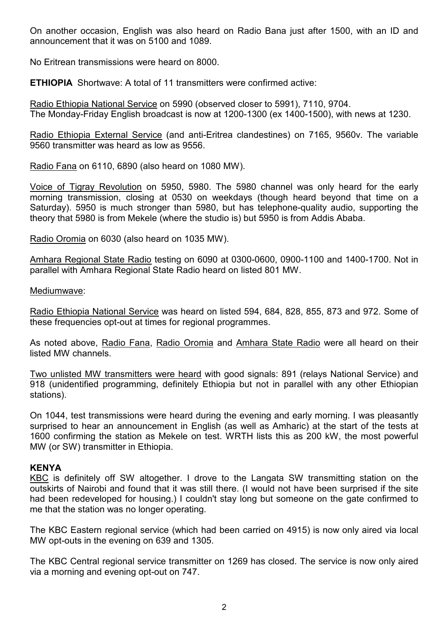On another occasion, English was also heard on Radio Bana just after 1500, with an ID and announcement that it was on 5100 and 1089.

No Eritrean transmissions were heard on 8000.

ETHIOPIA Shortwave: A total of 11 transmitters were confirmed active:

Radio Ethiopia National Service on 5990 (observed closer to 5991), 7110, 9704. The Monday-Friday English broadcast is now at 1200-1300 (ex 1400-1500), with news at 1230.

Radio Ethiopia External Service (and anti-Eritrea clandestines) on 7165, 9560v. The variable 9560 transmitter was heard as low as 9556.

Radio Fana on 6110, 6890 (also heard on 1080 MW).

Voice of Tigray Revolution on 5950, 5980. The 5980 channel was only heard for the early morning transmission, closing at 0530 on weekdays (though heard beyond that time on a Saturday). 5950 is much stronger than 5980, but has telephone-quality audio, supporting the theory that 5980 is from Mekele (where the studio is) but 5950 is from Addis Ababa.

Radio Oromia on 6030 (also heard on 1035 MW).

Amhara Regional State Radio testing on 6090 at 0300-0600, 0900-1100 and 1400-1700. Not in parallel with Amhara Regional State Radio heard on listed 801 MW.

Mediumwave:

Radio Ethiopia National Service was heard on listed 594, 684, 828, 855, 873 and 972. Some of these frequencies opt-out at times for regional programmes.

As noted above, Radio Fana, Radio Oromia and Amhara State Radio were all heard on their listed MW channels.

Two unlisted MW transmitters were heard with good signals: 891 (relays National Service) and 918 (unidentified programming, definitely Ethiopia but not in parallel with any other Ethiopian stations).

On 1044, test transmissions were heard during the evening and early morning. I was pleasantly surprised to hear an announcement in English (as well as Amharic) at the start of the tests at 1600 confirming the station as Mekele on test. WRTH lists this as 200 kW, the most powerful MW (or SW) transmitter in Ethiopia.

# **KENYA**

KBC is definitely off SW altogether. I drove to the Langata SW transmitting station on the outskirts of Nairobi and found that it was still there. (I would not have been surprised if the site had been redeveloped for housing.) I couldn't stay long but someone on the gate confirmed to me that the station was no longer operating.

The KBC Eastern regional service (which had been carried on 4915) is now only aired via local MW opt-outs in the evening on 639 and 1305.

The KBC Central regional service transmitter on 1269 has closed. The service is now only aired via a morning and evening opt-out on 747.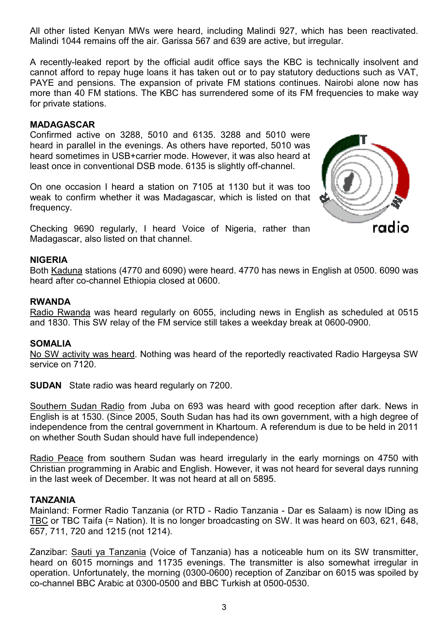All other listed Kenyan MWs were heard, including Malindi 927, which has been reactivated. Malindi 1044 remains off the air. Garissa 567 and 639 are active, but irregular.

A recently-leaked report by the official audit office says the KBC is technically insolvent and cannot afford to repay huge loans it has taken out or to pay statutory deductions such as VAT, PAYE and pensions. The expansion of private FM stations continues. Nairobi alone now has more than 40 FM stations. The KBC has surrendered some of its FM frequencies to make way for private stations.

# MADAGASCAR

Confirmed active on 3288, 5010 and 6135. 3288 and 5010 were heard in parallel in the evenings. As others have reported, 5010 was heard sometimes in USB+carrier mode. However, it was also heard at least once in conventional DSB mode. 6135 is slightly off-channel.

On one occasion I heard a station on 7105 at 1130 but it was too weak to confirm whether it was Madagascar, which is listed on that frequency.

Checking 9690 regularly, I heard Voice of Nigeria, rather than Madagascar, also listed on that channel.

# NIGERIA

Both Kaduna stations (4770 and 6090) were heard. 4770 has news in English at 0500. 6090 was heard after co-channel Ethiopia closed at 0600.

# RWANDA

Radio Rwanda was heard regularly on 6055, including news in English as scheduled at 0515 and 1830. This SW relay of the FM service still takes a weekday break at 0600-0900.

# SOMALIA

No SW activity was heard. Nothing was heard of the reportedly reactivated Radio Hargeysa SW service on 7120.

SUDAN State radio was heard regularly on 7200.

Southern Sudan Radio from Juba on 693 was heard with good reception after dark. News in English is at 1530. (Since 2005, South Sudan has had its own government, with a high degree of independence from the central government in Khartoum. A referendum is due to be held in 2011 on whether South Sudan should have full independence)

Radio Peace from southern Sudan was heard irregularly in the early mornings on 4750 with Christian programming in Arabic and English. However, it was not heard for several days running in the last week of December. It was not heard at all on 5895.

# TANZANIA

Mainland: Former Radio Tanzania (or RTD - Radio Tanzania - Dar es Salaam) is now IDing as TBC or TBC Taifa (= Nation). It is no longer broadcasting on SW. It was heard on 603, 621, 648, 657, 711, 720 and 1215 (not 1214).

Zanzibar: Sauti ya Tanzania (Voice of Tanzania) has a noticeable hum on its SW transmitter, heard on 6015 mornings and 11735 evenings. The transmitter is also somewhat irregular in operation. Unfortunately, the morning (0300-0600) reception of Zanzibar on 6015 was spoiled by co-channel BBC Arabic at 0300-0500 and BBC Turkish at 0500-0530.